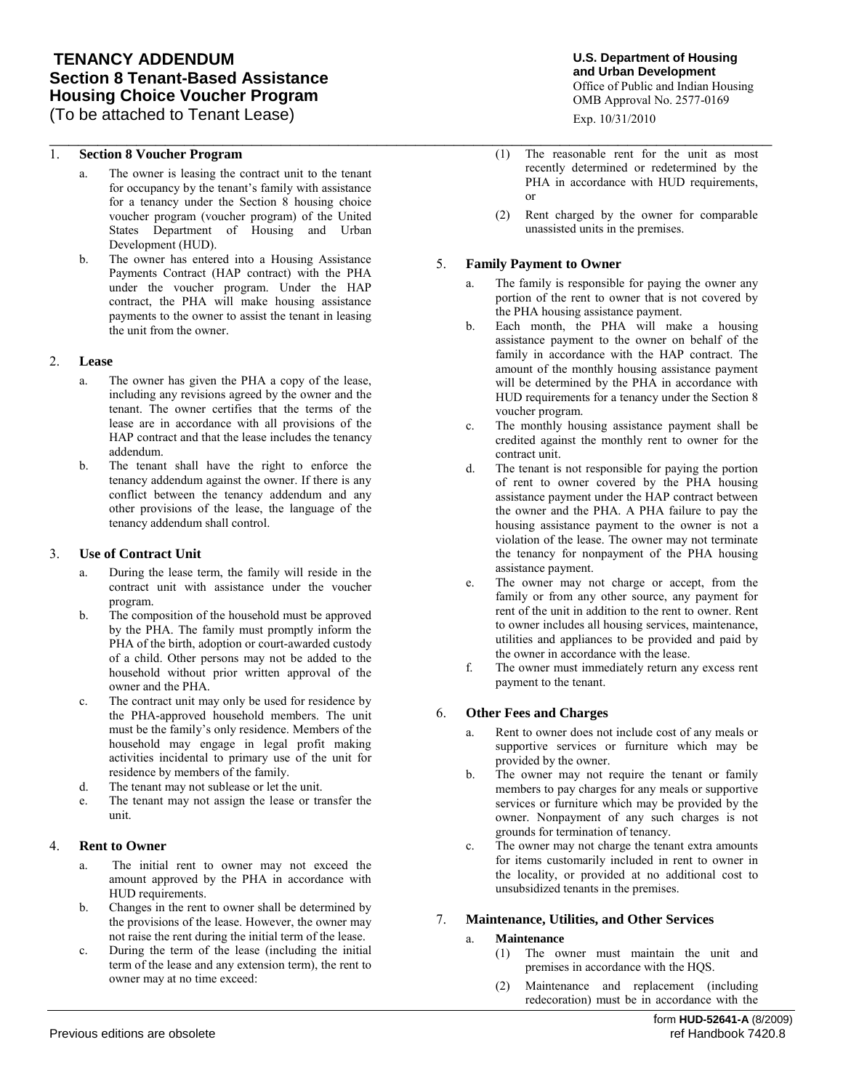# **TENANCY ADDENDUM Section 8 Tenant-Based Assistance Housing Choice Voucher Program**

(To be attached to Tenant Lease)

## 1. **Section 8 Voucher Program**

- a. The owner is leasing the contract unit to the tenant for occupancy by the tenant's family with assistance for a tenancy under the Section 8 housing choice voucher program (voucher program) of the United States Department of Housing and Urban Development (HUD).
- b. The owner has entered into a Housing Assistance Payments Contract (HAP contract) with the PHA under the voucher program. Under the HAP contract, the PHA will make housing assistance payments to the owner to assist the tenant in leasing the unit from the owner.

## 2. **Lease**

- a. The owner has given the PHA a copy of the lease, including any revisions agreed by the owner and the tenant. The owner certifies that the terms of the lease are in accordance with all provisions of the HAP contract and that the lease includes the tenancy addendum.
- b. The tenant shall have the right to enforce the tenancy addendum against the owner. If there is any conflict between the tenancy addendum and any other provisions of the lease, the language of the tenancy addendum shall control.

## 3. **Use of Contract Unit**

- a. During the lease term, the family will reside in the contract unit with assistance under the voucher program.
- b. The composition of the household must be approved by the PHA. The family must promptly inform the PHA of the birth, adoption or court-awarded custody of a child. Other persons may not be added to the household without prior written approval of the owner and the PHA.
- c. The contract unit may only be used for residence by the PHA-approved household members. The unit must be the family's only residence. Members of the household may engage in legal profit making activities incidental to primary use of the unit for residence by members of the family.
- d. The tenant may not sublease or let the unit.
- e. The tenant may not assign the lease or transfer the unit.

#### 4. **Rent to Owner**

- a. The initial rent to owner may not exceed the amount approved by the PHA in accordance with HUD requirements.
- b. Changes in the rent to owner shall be determined by the provisions of the lease. However, the owner may not raise the rent during the initial term of the lease.
- c. During the term of the lease (including the initial term of the lease and any extension term), the rent to owner may at no time exceed:

Exp. 10/31/2010

- (1) The reasonable rent for the unit as most recently determined or redetermined by the PHA in accordance with HUD requirements, or
- (2) Rent charged by the owner for comparable unassisted units in the premises.

#### 5. **Family Payment to Owner**

 $\mathcal{L}_\text{max} = \frac{1}{2} \sum_{i=1}^{n} \frac{1}{2} \sum_{i=1}^{n} \frac{1}{2} \sum_{i=1}^{n} \frac{1}{2} \sum_{i=1}^{n} \frac{1}{2} \sum_{i=1}^{n} \frac{1}{2} \sum_{i=1}^{n} \frac{1}{2} \sum_{i=1}^{n} \frac{1}{2} \sum_{i=1}^{n} \frac{1}{2} \sum_{i=1}^{n} \frac{1}{2} \sum_{i=1}^{n} \frac{1}{2} \sum_{i=1}^{n} \frac{1}{2} \sum_{i=1}^{n} \frac{1$ 

- a. The family is responsible for paying the owner any portion of the rent to owner that is not covered by the PHA housing assistance payment.
- b. Each month, the PHA will make a housing assistance payment to the owner on behalf of the family in accordance with the HAP contract. The amount of the monthly housing assistance payment will be determined by the PHA in accordance with HUD requirements for a tenancy under the Section 8 voucher program.
- c. The monthly housing assistance payment shall be credited against the monthly rent to owner for the contract unit.
- d. The tenant is not responsible for paying the portion of rent to owner covered by the PHA housing assistance payment under the HAP contract between the owner and the PHA. A PHA failure to pay the housing assistance payment to the owner is not a violation of the lease. The owner may not terminate the tenancy for nonpayment of the PHA housing assistance payment.
- e. The owner may not charge or accept, from the family or from any other source, any payment for rent of the unit in addition to the rent to owner. Rent to owner includes all housing services, maintenance, utilities and appliances to be provided and paid by the owner in accordance with the lease.
- f. The owner must immediately return any excess rent payment to the tenant.

## 6. **Other Fees and Charges**

- a. Rent to owner does not include cost of any meals or supportive services or furniture which may be provided by the owner.
- b. The owner may not require the tenant or family members to pay charges for any meals or supportive services or furniture which may be provided by the owner. Nonpayment of any such charges is not grounds for termination of tenancy.
- c. The owner may not charge the tenant extra amounts for items customarily included in rent to owner in the locality, or provided at no additional cost to unsubsidized tenants in the premises.

## 7. **Maintenance, Utilities, and Other Services**

#### a. **Maintenance**

- (1) The owner must maintain the unit and premises in accordance with the HQS.
- (2) Maintenance and replacement (including redecoration) must be in accordance with the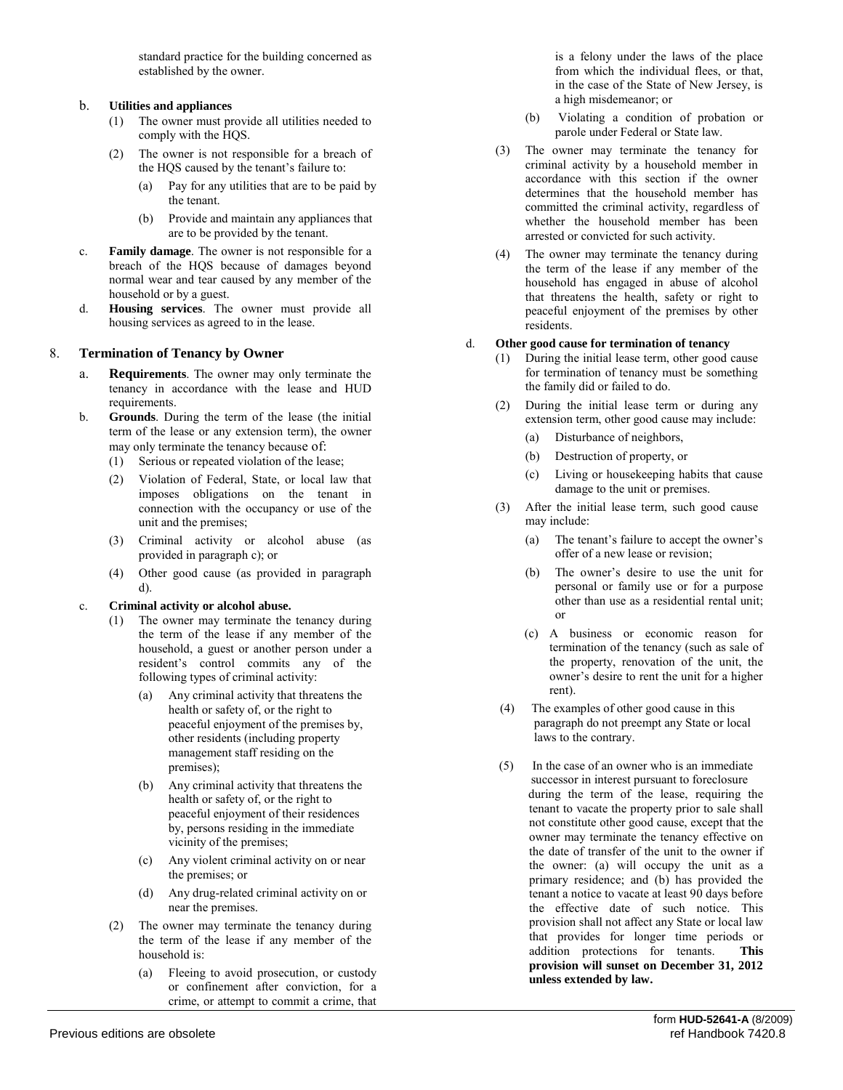standard practice for the building concerned as established by the owner.

## b. **Utilities and appliances**

- (1) The owner must provide all utilities needed to comply with the HQS.
- (2) The owner is not responsible for a breach of the HQS caused by the tenant's failure to:
	- (a) Pay for any utilities that are to be paid by the tenant.
	- (b) Provide and maintain any appliances that are to be provided by the tenant.
- c. **Family damage**. The owner is not responsible for a breach of the HQS because of damages beyond normal wear and tear caused by any member of the household or by a guest.
- d. **Housing services**. The owner must provide all housing services as agreed to in the lease.

## 8. **Termination of Tenancy by Owner**

- a. **Requirements**. The owner may only terminate the tenancy in accordance with the lease and HUD requirements.
- b. **Grounds**. During the term of the lease (the initial term of the lease or any extension term), the owner may only terminate the tenancy because of:
	- (1) Serious or repeated violation of the lease;
	- (2) Violation of Federal, State, or local law that imposes obligations on the tenant in connection with the occupancy or use of the unit and the premises;
	- (3) Criminal activity or alcohol abuse (as provided in paragraph c); or
	- (4) Other good cause (as provided in paragraph d).

## c. **Criminal activity or alcohol abuse.**

- (1) The owner may terminate the tenancy during the term of the lease if any member of the household, a guest or another person under a resident's control commits any of the following types of criminal activity:
	- (a) Any criminal activity that threatens the health or safety of, or the right to peaceful enjoyment of the premises by, other residents (including property management staff residing on the premises);
	- (b) Any criminal activity that threatens the health or safety of, or the right to peaceful enjoyment of their residences by, persons residing in the immediate vicinity of the premises;
	- (c) Any violent criminal activity on or near the premises; or
	- (d) Any drug-related criminal activity on or near the premises.
- (2) The owner may terminate the tenancy during the term of the lease if any member of the household is:
	- (a) Fleeing to avoid prosecution, or custody or confinement after conviction, for a crime, or attempt to commit a crime, that

is a felony under the laws of the place from which the individual flees, or that, in the case of the State of New Jersey, is a high misdemeanor; or

- (b) Violating a condition of probation or parole under Federal or State law.
- (3) The owner may terminate the tenancy for criminal activity by a household member in accordance with this section if the owner determines that the household member has committed the criminal activity, regardless of whether the household member has been arrested or convicted for such activity.
- (4) The owner may terminate the tenancy during the term of the lease if any member of the household has engaged in abuse of alcohol that threatens the health, safety or right to peaceful enjoyment of the premises by other residents.

## d. **Other good cause for termination of tenancy**

- (1) During the initial lease term, other good cause for termination of tenancy must be something the family did or failed to do.
- (2) During the initial lease term or during any extension term, other good cause may include:
	- (a) Disturbance of neighbors,
	- (b) Destruction of property, or
	- (c) Living or housekeeping habits that cause damage to the unit or premises.
- (3) After the initial lease term, such good cause may include:
	- (a) The tenant's failure to accept the owner's offer of a new lease or revision;
	- (b) The owner's desire to use the unit for personal or family use or for a purpose other than use as a residential rental unit; or
	- (c) A business or economic reason for termination of the tenancy (such as sale of the property, renovation of the unit, the owner's desire to rent the unit for a higher rent).
- (4) The examples of other good cause in this paragraph do not preempt any State or local laws to the contrary.
- (5) In the case of an owner who is an immediate successor in interest pursuant to foreclosure during the term of the lease, requiring the tenant to vacate the property prior to sale shall not constitute other good cause, except that the owner may terminate the tenancy effective on the date of transfer of the unit to the owner if the owner: (a) will occupy the unit as a primary residence; and (b) has provided the tenant a notice to vacate at least 90 days before the effective date of such notice. This provision shall not affect any State or local law that provides for longer time periods or addition protections for tenants. **This provision will sunset on December 31, 2012 unless extended by law.**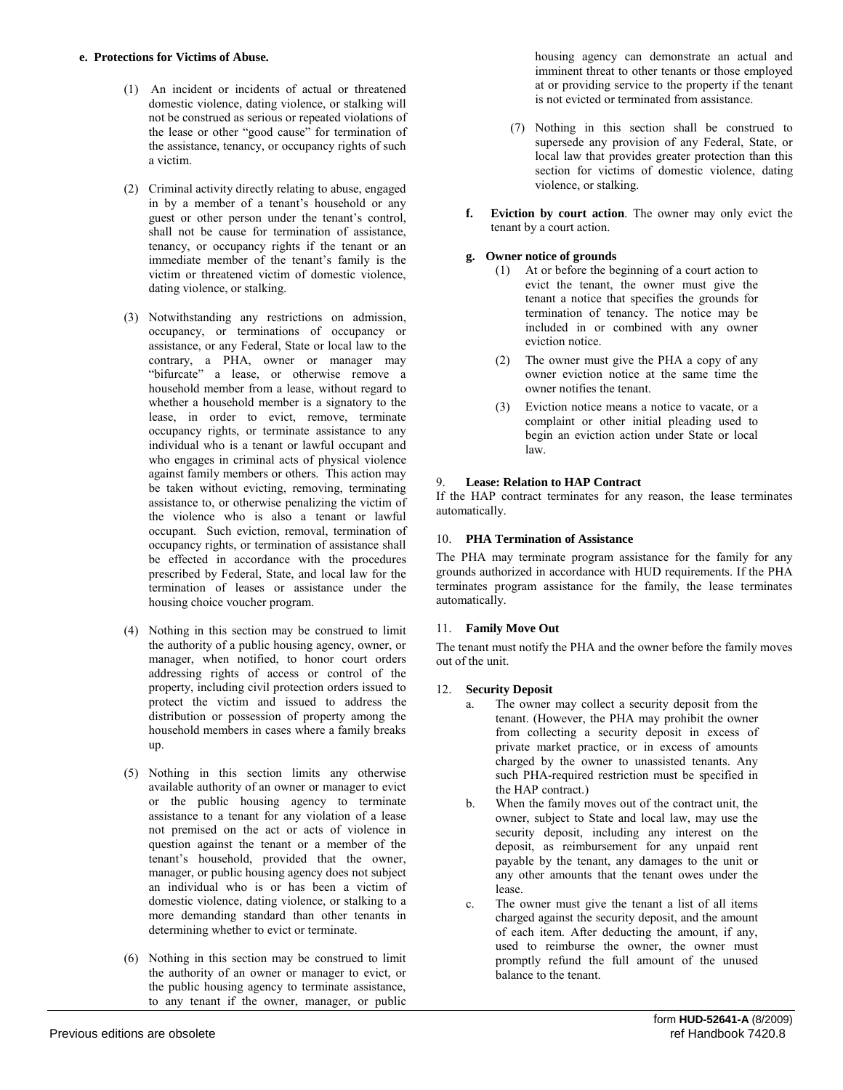#### **e. Protections for Victims of Abuse.**

- (1) An incident or incidents of actual or threatened domestic violence, dating violence, or stalking will not be construed as serious or repeated violations of the lease or other "good cause" for termination of the assistance, tenancy, or occupancy rights of such a victim.
- (2) Criminal activity directly relating to abuse, engaged in by a member of a tenant's household or any guest or other person under the tenant's control, shall not be cause for termination of assistance, tenancy, or occupancy rights if the tenant or an immediate member of the tenant's family is the victim or threatened victim of domestic violence, dating violence, or stalking.
- (3) Notwithstanding any restrictions on admission, occupancy, or terminations of occupancy or assistance, or any Federal, State or local law to the contrary, a PHA, owner or manager may "bifurcate" a lease, or otherwise remove a household member from a lease, without regard to whether a household member is a signatory to the lease, in order to evict, remove, terminate occupancy rights, or terminate assistance to any individual who is a tenant or lawful occupant and who engages in criminal acts of physical violence against family members or others. This action may be taken without evicting, removing, terminating assistance to, or otherwise penalizing the victim of the violence who is also a tenant or lawful occupant. Such eviction, removal, termination of occupancy rights, or termination of assistance shall be effected in accordance with the procedures prescribed by Federal, State, and local law for the termination of leases or assistance under the housing choice voucher program.
- (4) Nothing in this section may be construed to limit the authority of a public housing agency, owner, or manager, when notified, to honor court orders addressing rights of access or control of the property, including civil protection orders issued to protect the victim and issued to address the distribution or possession of property among the household members in cases where a family breaks up.
- (5) Nothing in this section limits any otherwise available authority of an owner or manager to evict or the public housing agency to terminate assistance to a tenant for any violation of a lease not premised on the act or acts of violence in question against the tenant or a member of the tenant's household, provided that the owner, manager, or public housing agency does not subject an individual who is or has been a victim of domestic violence, dating violence, or stalking to a more demanding standard than other tenants in determining whether to evict or terminate.
- (6) Nothing in this section may be construed to limit the authority of an owner or manager to evict, or the public housing agency to terminate assistance, to any tenant if the owner, manager, or public

housing agency can demonstrate an actual and imminent threat to other tenants or those employed at or providing service to the property if the tenant is not evicted or terminated from assistance.

- (7) Nothing in this section shall be construed to supersede any provision of any Federal, State, or local law that provides greater protection than this section for victims of domestic violence, dating violence, or stalking.
- **f. Eviction by court action**. The owner may only evict the tenant by a court action.

## **g. Owner notice of grounds**

- (1) At or before the beginning of a court action to evict the tenant, the owner must give the tenant a notice that specifies the grounds for termination of tenancy. The notice may be included in or combined with any owner eviction notice.
- (2) The owner must give the PHA a copy of any owner eviction notice at the same time the owner notifies the tenant.
- (3) Eviction notice means a notice to vacate, or a complaint or other initial pleading used to begin an eviction action under State or local law.

## 9. **Lease: Relation to HAP Contract**

If the HAP contract terminates for any reason, the lease terminates automatically.

## 10. **PHA Termination of Assistance**

The PHA may terminate program assistance for the family for any grounds authorized in accordance with HUD requirements. If the PHA terminates program assistance for the family, the lease terminates automatically.

## 11. **Family Move Out**

The tenant must notify the PHA and the owner before the family moves out of the unit.

## 12. **Security Deposit**

- The owner may collect a security deposit from the tenant. (However, the PHA may prohibit the owner from collecting a security deposit in excess of private market practice, or in excess of amounts charged by the owner to unassisted tenants. Any such PHA-required restriction must be specified in the HAP contract.)
- b. When the family moves out of the contract unit, the owner, subject to State and local law, may use the security deposit, including any interest on the deposit, as reimbursement for any unpaid rent payable by the tenant, any damages to the unit or any other amounts that the tenant owes under the lease.
- c. The owner must give the tenant a list of all items charged against the security deposit, and the amount of each item. After deducting the amount, if any, used to reimburse the owner, the owner must promptly refund the full amount of the unused balance to the tenant.